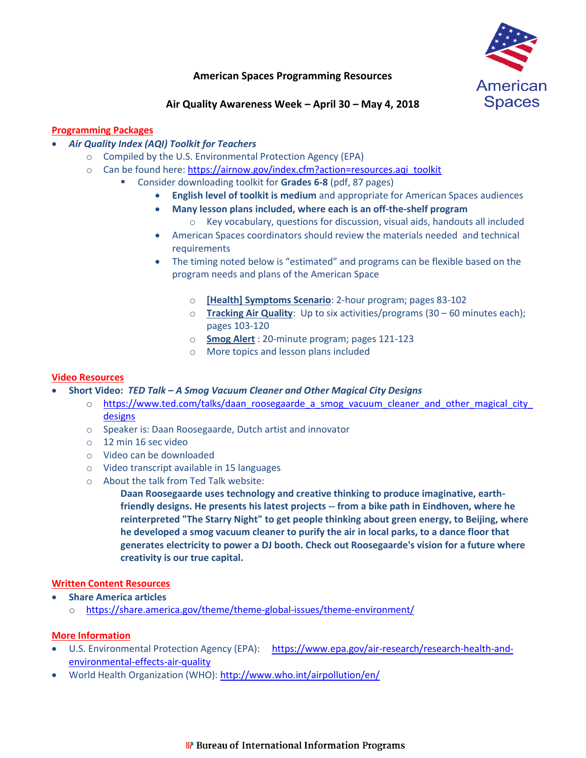

# **American Spaces Programming Resources**

## **Air Quality Awareness Week – April 30 – May 4, 2018**

## **Programming Packages**

- *Air Quality Index (AQI) Toolkit for Teachers*
	- o Compiled by the U.S. Environmental Protection Agency (EPA)
	- o Can be found here: [https://airnow.gov/index.cfm?action=resources.aqi\\_toolkit](https://airnow.gov/index.cfm?action=resources.aqi_toolkit)
		- Consider downloading toolkit for **Grades 6-8** (pdf, 87 pages)
			- **English level of toolkit is medium** and appropriate for American Spaces audiences
			- **Many lesson plans included, where each is an off-the-shelf program**
				- $\circ$  Key vocabulary, questions for discussion, visual aids, handouts all included
			- American Spaces coordinators should review the materials needed and technical requirements
			- The timing noted below is "estimated" and programs can be flexible based on the program needs and plans of the American Space
				- o **[Health] Symptoms Scenario**: 2-hour program; pages 83-102
				- o **Tracking Air Quality**: Up to six activities/programs (30 60 minutes each); pages 103-120
				- o **Smog Alert** : 20-minute program; pages 121-123
				- o More topics and lesson plans included

### **Video Resources**

- **Short Video:** *TED Talk – A Smog Vacuum Cleaner and Other Magical City Designs*
	- o [https://www.ted.com/talks/daan\\_roosegaarde\\_a\\_smog\\_vacuum\\_cleaner\\_and\\_other\\_magical\\_city\\_](https://www.ted.com/talks/daan_roosegaarde_a_smog_vacuum_cleaner_and_other_magical_city_designs) [designs](https://www.ted.com/talks/daan_roosegaarde_a_smog_vacuum_cleaner_and_other_magical_city_designs)
	- o Speaker is: Daan Roosegaarde, Dutch artist and innovator
	- o 12 min 16 sec video
	- o Video can be downloaded
	- o Video transcript available in 15 languages
	- o About the talk from Ted Talk website:

**Daan Roosegaarde uses technology and creative thinking to produce imaginative, earthfriendly designs. He presents his latest projects -- from a bike path in Eindhoven, where he reinterpreted "The Starry Night" to get people thinking about green energy, to Beijing, where he developed a smog vacuum cleaner to purify the air in local parks, to a dance floor that generates electricity to power a DJ booth. Check out Roosegaarde's vision for a future where creativity is our true capital.**

#### **Written Content Resources**

**Share America articles**

o <https://share.america.gov/theme/theme-global-issues/theme-environment/>

### **More Information**

- U.S. Environmental Protection Agency (EPA): [https://www.epa.gov/air-research/research-health-and](https://www.epa.gov/air-research/research-health-and-environmental-effects-air-quality)[environmental-effects-air-quality](https://www.epa.gov/air-research/research-health-and-environmental-effects-air-quality)
- World Health Organization (WHO):<http://www.who.int/airpollution/en/>

### **IP** Bureau of International Information Programs